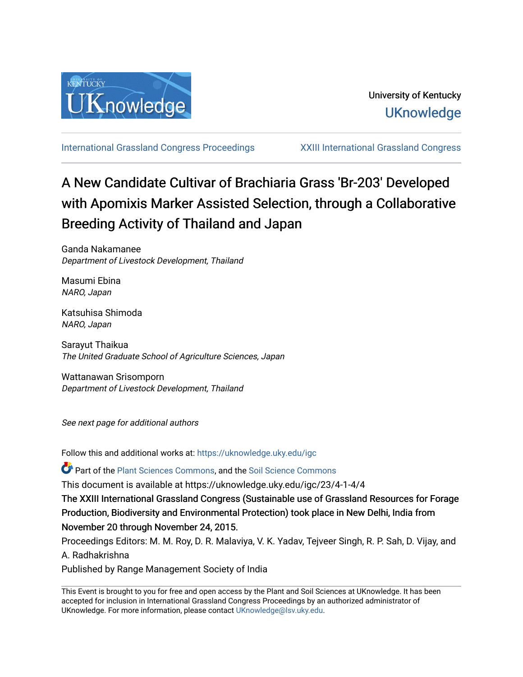

[International Grassland Congress Proceedings](https://uknowledge.uky.edu/igc) [XXIII International Grassland Congress](https://uknowledge.uky.edu/igc/23) 

# A New Candidate Cultivar of Brachiaria Grass 'Br-203' Developed with Apomixis Marker Assisted Selection, through a Collaborative Breeding Activity of Thailand and Japan

Ganda Nakamanee Department of Livestock Development, Thailand

Masumi Ebina NARO, Japan

Katsuhisa Shimoda NARO, Japan

Sarayut Thaikua The United Graduate School of Agriculture Sciences, Japan

Wattanawan Srisomporn Department of Livestock Development, Thailand

See next page for additional authors

Follow this and additional works at: [https://uknowledge.uky.edu/igc](https://uknowledge.uky.edu/igc?utm_source=uknowledge.uky.edu%2Figc%2F23%2F4-1-4%2F4&utm_medium=PDF&utm_campaign=PDFCoverPages) 

Part of the [Plant Sciences Commons](http://network.bepress.com/hgg/discipline/102?utm_source=uknowledge.uky.edu%2Figc%2F23%2F4-1-4%2F4&utm_medium=PDF&utm_campaign=PDFCoverPages), and the [Soil Science Commons](http://network.bepress.com/hgg/discipline/163?utm_source=uknowledge.uky.edu%2Figc%2F23%2F4-1-4%2F4&utm_medium=PDF&utm_campaign=PDFCoverPages) 

This document is available at https://uknowledge.uky.edu/igc/23/4-1-4/4

The XXIII International Grassland Congress (Sustainable use of Grassland Resources for Forage Production, Biodiversity and Environmental Protection) took place in New Delhi, India from November 20 through November 24, 2015.

Proceedings Editors: M. M. Roy, D. R. Malaviya, V. K. Yadav, Tejveer Singh, R. P. Sah, D. Vijay, and A. Radhakrishna

Published by Range Management Society of India

This Event is brought to you for free and open access by the Plant and Soil Sciences at UKnowledge. It has been accepted for inclusion in International Grassland Congress Proceedings by an authorized administrator of UKnowledge. For more information, please contact [UKnowledge@lsv.uky.edu](mailto:UKnowledge@lsv.uky.edu).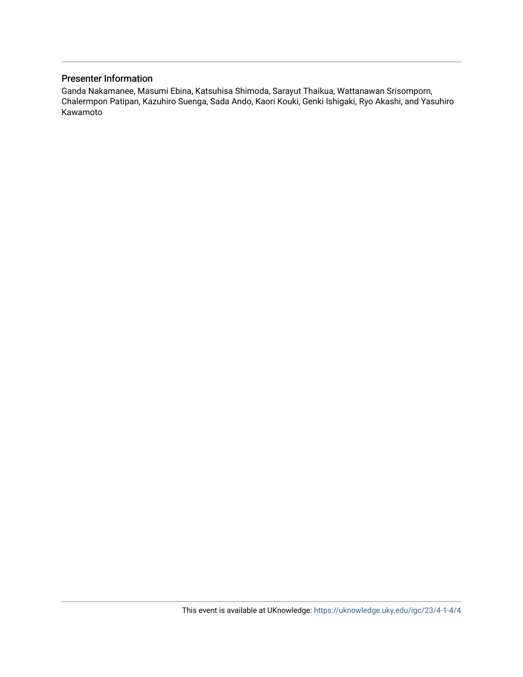#### Presenter Information

Ganda Nakamanee, Masumi Ebina, Katsuhisa Shimoda, Sarayut Thaikua, Wattanawan Srisomporn, Chalermpon Patipan, Kazuhiro Suenga, Sada Ando, Kaori Kouki, Genki Ishigaki, Ryo Akashi, and Yasuhiro Kawamoto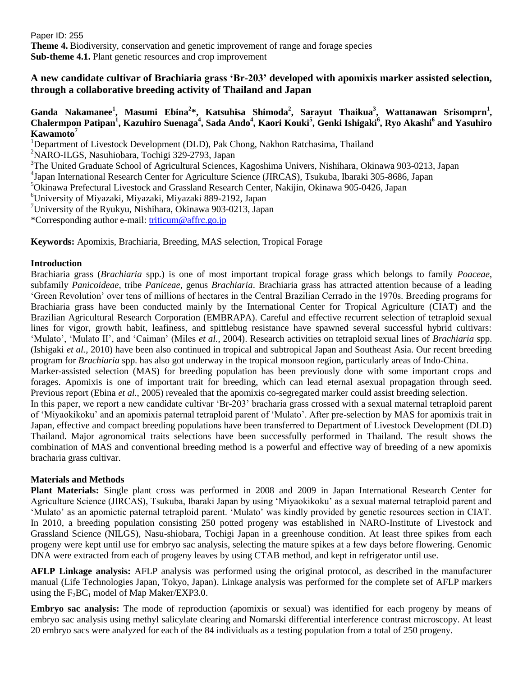Paper ID: 255 **Theme 4.** Biodiversity, conservation and genetic improvement of range and forage species **Sub-theme 4.1.** Plant genetic resources and crop improvement

# **A new candidate cultivar of Brachiaria grass 'Br-203' developed with apomixis marker assisted selection, through a collaborative breeding activity of Thailand and Japan**

### **Ganda Nakamanee<sup>1</sup> , Masumi Ebina<sup>2</sup> \*, Katsuhisa Shimoda<sup>2</sup> , Sarayut Thaikua<sup>3</sup> , Wattanawan Srisomprn<sup>1</sup> , Chalermpon Patipan<sup>1</sup> , Kazuhiro Suenaga<sup>4</sup> , Sada Ando<sup>4</sup> , Kaori Kouki<sup>5</sup> , Genki Ishigaki<sup>6</sup> , Ryo Akashi<sup>6</sup> and Yasuhiro Kawamoto<sup>7</sup>**

<sup>1</sup>Department of Livestock Development (DLD), Pak Chong, Nakhon Ratchasima, Thailand <sup>2</sup>NARO-ILGS, Nasuhiobara, Tochigi 329-2793, Japan <sup>3</sup>The United Graduate School of Agricultural Sciences, Kagoshima Univers, Nishihara, Okinawa 903-0213, Japan 4 Japan International Research Center for Agriculture Science (JIRCAS), Tsukuba, Ibaraki 305-8686, Japan <sup>5</sup>Okinawa Prefectural Livestock and Grassland Research Center, Nakijin, Okinawa 905-0426, Japan <sup>6</sup>University of Miyazaki, Miyazaki, Miyazaki 889-2192, Japan <sup>7</sup>University of the Ryukyu, Nishihara, Okinawa 903-0213, Japan \*Corresponding author e-mail: [triticum@affrc.go.jp](mailto:triticum@affrc.go.jp)

**Keywords:** Apomixis, Brachiaria, Breeding, MAS selection, Tropical Forage

### **Introduction**

Brachiaria grass (*Brachiaria* spp.) is one of most important tropical forage grass which belongs to family *Poaceae*, subfamily *Panicoideae*, tribe *Paniceae*, genus *Brachiaria*. Brachiaria grass has attracted attention because of a leading 'Green Revolution' over tens of millions of hectares in the Central Brazilian Cerrado in the 1970s. Breeding programs for Brachiaria grass have been conducted mainly by the International Center for Tropical Agriculture (CIAT) and the Brazilian Agricultural Research Corporation (EMBRAPA). Careful and effective recurrent selection of tetraploid sexual lines for vigor, growth habit, leafiness, and spittlebug resistance have spawned several successful hybrid cultivars: 'Mulato', 'Mulato II', and 'Caiman' (Miles *et al.*, 2004). Research activities on tetraploid sexual lines of *Brachiaria* spp. (Ishigaki *et al.*, 2010) have been also continued in tropical and subtropical Japan and Southeast Asia. Our recent breeding program for *Brachiaria* spp. has also got underway in the tropical monsoon region, particularly areas of Indo-China.

Marker-assisted selection (MAS) for breeding population has been previously done with some important crops and forages. Apomixis is one of important trait for breeding, which can lead eternal asexual propagation through seed. Previous report (Ebina *et al.*, 2005) revealed that the apomixis co-segregated marker could assist breeding selection.

In this paper, we report a new candidate cultivar 'Br-203' bracharia grass crossed with a sexual maternal tetraploid parent of 'Miyaokikoku' and an apomixis paternal tetraploid parent of 'Mulato'. After pre-selection by MAS for apomixis trait in Japan, effective and compact breeding populations have been transferred to Department of Livestock Development (DLD) Thailand. Major agronomical traits selections have been successfully performed in Thailand. The result shows the combination of MAS and conventional breeding method is a powerful and effective way of breeding of a new apomixis bracharia grass cultivar.

# **Materials and Methods**

**Plant Materials:** Single plant cross was performed in 2008 and 2009 in Japan International Research Center for Agriculture Science (JIRCAS), Tsukuba, Ibaraki Japan by using 'Miyaokikoku' as a sexual maternal tetraploid parent and 'Mulato' as an apomictic paternal tetraploid parent. 'Mulato' was kindly provided by genetic resources section in CIAT. In 2010, a breeding population consisting 250 potted progeny was established in NARO-Institute of Livestock and Grassland Science (NILGS), Nasu-shiobara, Tochigi Japan in a greenhouse condition. At least three spikes from each progeny were kept until use for embryo sac analysis, selecting the mature spikes at a few days before flowering. Genomic DNA were extracted from each of progeny leaves by using CTAB method, and kept in refrigerator until use.

**AFLP Linkage analysis:** AFLP analysis was performed using the original protocol, as described in the manufacturer manual (Life Technologies Japan, Tokyo, Japan). Linkage analysis was performed for the complete set of AFLP markers using the  $F_2BC_1$  model of Map Maker/EXP3.0.

**Embryo sac analysis:** The mode of reproduction (apomixis or sexual) was identified for each progeny by means of embryo sac analysis using methyl salicylate clearing and Nomarski differential interference contrast microscopy. At least 20 embryo sacs were analyzed for each of the 84 individuals as a testing population from a total of 250 progeny.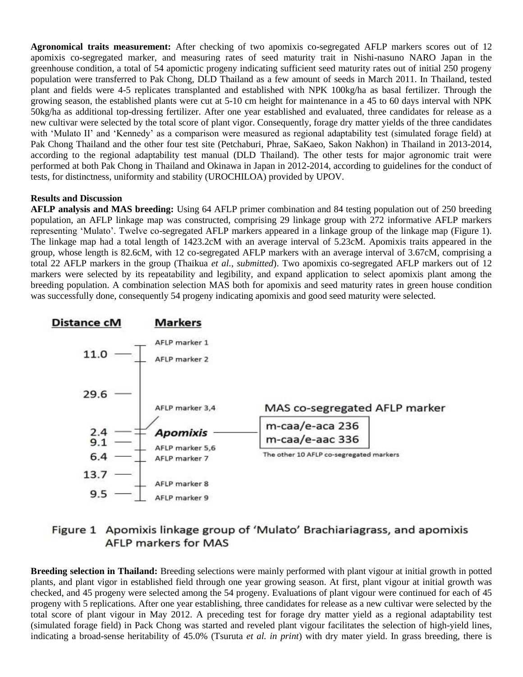**Agronomical traits measurement:** After checking of two apomixis co-segregated AFLP markers scores out of 12 apomixis co-segregated marker, and measuring rates of seed maturity trait in Nishi-nasuno NARO Japan in the greenhouse condition, a total of 54 apomictic progeny indicating sufficient seed maturity rates out of initial 250 progeny population were transferred to Pak Chong, DLD Thailand as a few amount of seeds in March 2011. In Thailand, tested plant and fields were 4-5 replicates transplanted and established with NPK 100kg/ha as basal fertilizer. Through the growing season, the established plants were cut at 5-10 cm height for maintenance in a 45 to 60 days interval with NPK 50kg/ha as additional top-dressing fertilizer. After one year established and evaluated, three candidates for release as a new cultivar were selected by the total score of plant vigor. Consequently, forage dry matter yields of the three candidates with 'Mulato II' and 'Kennedy' as a comparison were measured as regional adaptability test (simulated forage field) at Pak Chong Thailand and the other four test site (Petchaburi, Phrae, SaKaeo, Sakon Nakhon) in Thailand in 2013-2014, according to the regional adaptability test manual (DLD Thailand). The other tests for major agronomic trait were performed at both Pak Chong in Thailand and Okinawa in Japan in 2012-2014, according to guidelines for the conduct of tests, for distinctness, uniformity and stability (UROCHILOA) provided by UPOV.

#### **Results and Discussion**

**AFLP analysis and MAS breeding:** Using 64 AFLP primer combination and 84 testing population out of 250 breeding population, an AFLP linkage map was constructed, comprising 29 linkage group with 272 informative AFLP markers representing 'Mulato'. Twelve co-segregated AFLP markers appeared in a linkage group of the linkage map (Figure 1). The linkage map had a total length of 1423.2cM with an average interval of 5.23cM. Apomixis traits appeared in the group, whose length is 82.6cM, with 12 co-segregated AFLP markers with an average interval of 3.67cM, comprising a total 22 AFLP markers in the group (Thaikua *et al.*, *submitted*). Two apomixis co-segregated AFLP markers out of 12 markers were selected by its repeatability and legibility, and expand application to select apomixis plant among the breeding population. A combination selection MAS both for apomixis and seed maturity rates in green house condition was successfully done, consequently 54 progeny indicating apomixis and good seed maturity were selected.



# Figure 1 Apomixis linkage group of 'Mulato' Brachiariagrass, and apomixis **AFLP markers for MAS**

**Breeding selection in Thailand:** Breeding selections were mainly performed with plant vigour at initial growth in potted plants, and plant vigor in established field through one year growing season. At first, plant vigour at initial growth was checked, and 45 progeny were selected among the 54 progeny. Evaluations of plant vigour were continued for each of 45 progeny with 5 replications. After one year establishing, three candidates for release as a new cultivar were selected by the total score of plant vigour in May 2012. A preceding test for forage dry matter yield as a regional adaptability test (simulated forage field) in Pack Chong was started and reveled plant vigour facilitates the selection of high-yield lines, indicating a broad-sense heritability of 45.0% (Tsuruta *et al. in print*) with dry mater yield. In grass breeding, there is